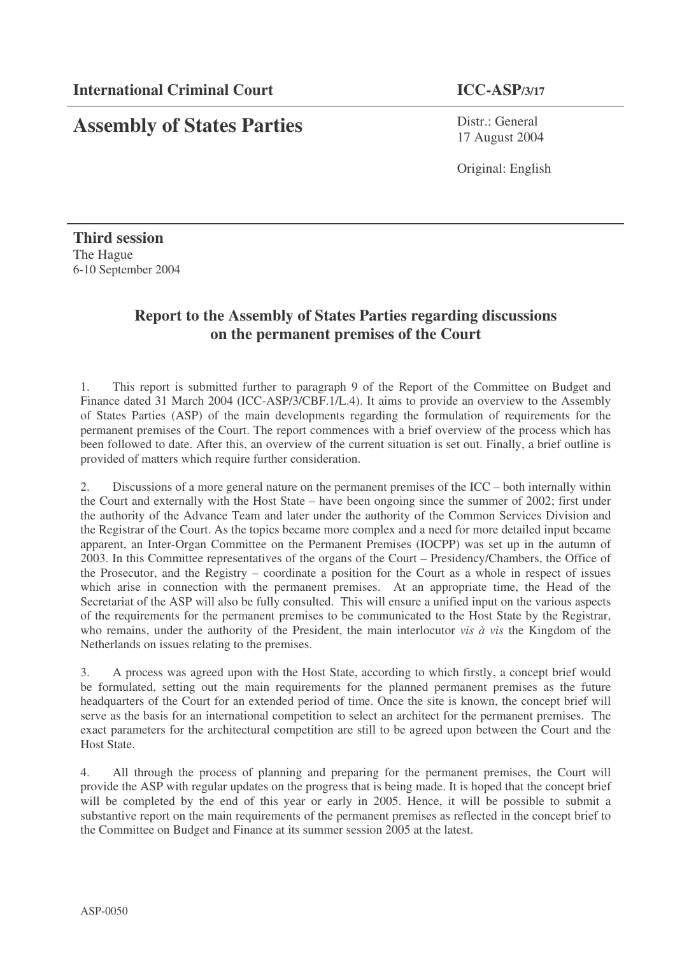## **Assembly of States Parties**

Distr.: General 17 August 2004

Original: English

**Third session** The Hague 6-10 September 2004

## **Report to the Assembly of States Parties regarding discussions on the permanent premises of the Court**

1. This report is submitted further to paragraph 9 of the Report of the Committee on Budget and Finance dated 31 March 2004 (ICC-ASP/3/CBF.1/L.4). It aims to provide an overview to the Assembly of States Parties (ASP) of the main developments regarding the formulation of requirements for the permanent premises of the Court. The report commences with a brief overview of the process which has been followed to date. After this, an overview of the current situation is set out. Finally, a brief outline is provided of matters which require further consideration.

2. Discussions of a more general nature on the permanent premises of the ICC – both internally within the Court and externally with the Host State – have been ongoing since the summer of 2002; first under the authority of the Advance Team and later under the authority of the Common Services Division and the Registrar of the Court. As the topics became more complex and a need for more detailed input became apparent, an Inter-Organ Committee on the Permanent Premises (IOCPP) was set up in the autumn of 2003. In this Committee representatives of the organs of the Court – Presidency/Chambers, the Office of the Prosecutor, and the Registry – coordinate a position for the Court as a whole in respect of issues which arise in connection with the permanent premises. At an appropriate time, the Head of the Secretariat of the ASP will also be fully consulted. This will ensure a unified input on the various aspects of the requirements for the permanent premises to be communicated to the Host State by the Registrar, who remains, under the authority of the President, the main interlocutor *vis à vis* the Kingdom of the Netherlands on issues relating to the premises.

3. A process was agreed upon with the Host State, according to which firstly, a concept brief would be formulated, setting out the main requirements for the planned permanent premises as the future headquarters of the Court for an extended period of time. Once the site is known, the concept brief will serve as the basis for an international competition to select an architect for the permanent premises. The exact parameters for the architectural competition are still to be agreed upon between the Court and the Host State.

4. All through the process of planning and preparing for the permanent premises, the Court will provide the ASP with regular updates on the progress that is being made. It is hoped that the concept brief will be completed by the end of this year or early in 2005. Hence, it will be possible to submit a substantive report on the main requirements of the permanent premises as reflected in the concept brief to the Committee on Budget and Finance at its summer session 2005 at the latest.